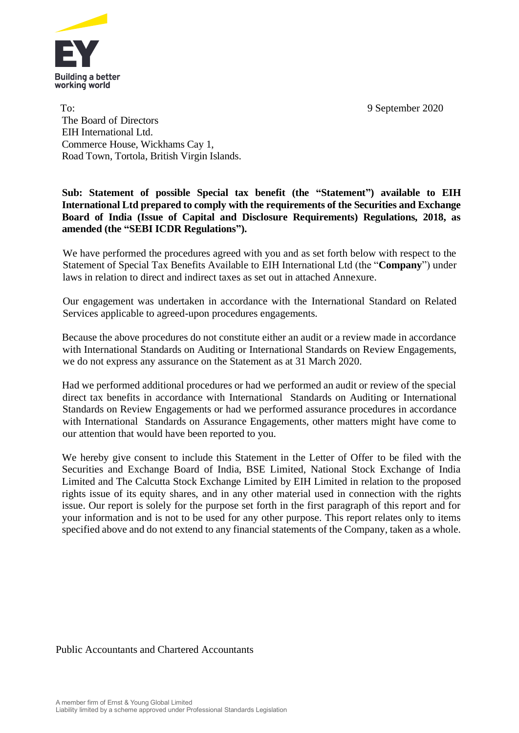

To: 9 September 2020 The Board of Directors EIH International Ltd. Commerce House, Wickhams Cay 1, Road Town, Tortola, British Virgin Islands.

## **Sub: Statement of possible Special tax benefit (the "Statement") available to EIH International Ltd prepared to comply with the requirements of the Securities and Exchange Board of India (Issue of Capital and Disclosure Requirements) Regulations, 2018, as amended (the "SEBI ICDR Regulations").**

We have performed the procedures agreed with you and as set forth below with respect to the Statement of Special Tax Benefits Available to EIH International Ltd (the "**Company**") under laws in relation to direct and indirect taxes as set out in attached Annexure.

Our engagement was undertaken in accordance with the International Standard on Related Services applicable to agreed-upon procedures engagements.

Because the above procedures do not constitute either an audit or a review made in accordance with International Standards on Auditing or International Standards on Review Engagements, we do not express any assurance on the Statement as at 31 March 2020.

Had we performed additional procedures or had we performed an audit or review of the special direct tax benefits in accordance with International Standards on Auditing or International Standards on Review Engagements or had we performed assurance procedures in accordance with International Standards on Assurance Engagements, other matters might have come to our attention that would have been reported to you.

We hereby give consent to include this Statement in the Letter of Offer to be filed with the Securities and Exchange Board of India, BSE Limited, National Stock Exchange of India Limited and The Calcutta Stock Exchange Limited by EIH Limited in relation to the proposed rights issue of its equity shares, and in any other material used in connection with the rights issue. Our report is solely for the purpose set forth in the first paragraph of this report and for your information and is not to be used for any other purpose. This report relates only to items specified above and do not extend to any financial statements of the Company, taken as a whole.

Public Accountants and Chartered Accountants